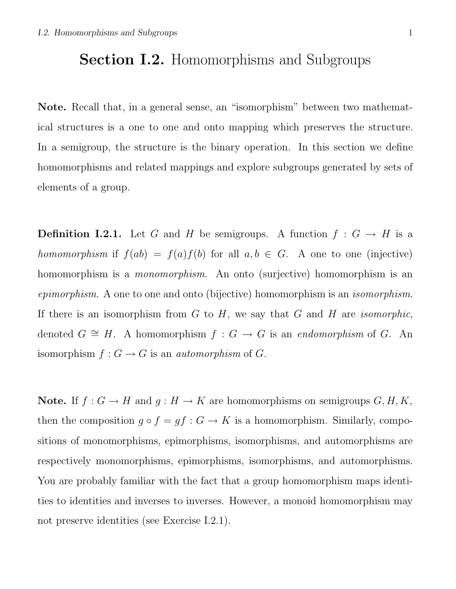## Section I.2. Homomorphisms and Subgroups

Note. Recall that, in a general sense, an "isomorphism" between two mathematical structures is a one to one and onto mapping which preserves the structure. In a semigroup, the structure is the binary operation. In this section we define homomorphisms and related mappings and explore subgroups generated by sets of elements of a group.

**Definition I.2.1.** Let G and H be semigroups. A function  $f : G \to H$  is a homomorphism if  $f(ab) = f(a)f(b)$  for all  $a, b \in G$ . A one to one (injective) homomorphism is a monomorphism. An onto (surjective) homomorphism is an epimorphism. A one to one and onto (bijective) homomorphism is an isomorphism. If there is an isomorphism from  $G$  to  $H$ , we say that  $G$  and  $H$  are *isomorphic*, denoted  $G \cong H$ . A homomorphism  $f : G \to G$  is an endomorphism of G. An isomorphism  $f: G \to G$  is an *automorphism* of G.

Note. If  $f: G \to H$  and  $g: H \to K$  are homomorphisms on semigroups  $G, H, K$ , then the composition  $g \circ f = gf : G \to K$  is a homomorphism. Similarly, compositions of monomorphisms, epimorphisms, isomorphisms, and automorphisms are respectively monomorphisms, epimorphisms, isomorphisms, and automorphisms. You are probably familiar with the fact that a group homomorphism maps identities to identities and inverses to inverses. However, a monoid homomorphism may not preserve identities (see Exercise I.2.1).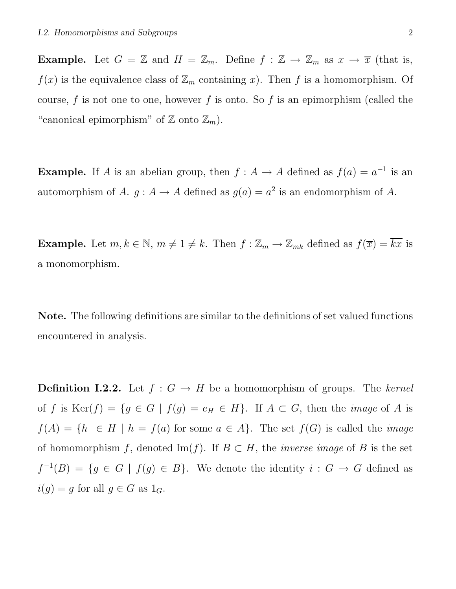**Example.** Let  $G = \mathbb{Z}$  and  $H = \mathbb{Z}_m$ . Define  $f : \mathbb{Z} \to \mathbb{Z}_m$  as  $x \to \overline{x}$  (that is,  $f(x)$  is the equivalence class of  $\mathbb{Z}_m$  containing x). Then f is a homomorphism. Of course,  $f$  is not one to one, however  $f$  is onto. So  $f$  is an epimorphism (called the "canonical epimorphism" of  $\mathbb Z$  onto  $\mathbb Z_m$ ).

**Example.** If A is an abelian group, then  $f : A \to A$  defined as  $f(a) = a^{-1}$  is an automorphism of A.  $g : A \to A$  defined as  $g(a) = a^2$  is an endomorphism of A.

**Example.** Let  $m, k \in \mathbb{N}$ ,  $m \neq 1 \neq k$ . Then  $f : \mathbb{Z}_m \to \mathbb{Z}_{mk}$  defined as  $f(\overline{x}) = \overline{kx}$  is a monomorphism.

Note. The following definitions are similar to the definitions of set valued functions encountered in analysis.

**Definition I.2.2.** Let  $f : G \to H$  be a homomorphism of groups. The kernel of f is Ker(f) = { $g \in G | f(g) = e_H \in H$ }. If  $A \subset G$ , then the *image* of A is  $f(A) = \{h \in H \mid h = f(a) \text{ for some } a \in A\}.$  The set  $f(G)$  is called the *image* of homomorphism f, denoted Im(f). If  $B \subset H$ , the *inverse image* of B is the set  $f^{-1}(B) = \{g \in G \mid f(g) \in B\}.$  We denote the identity  $i : G \to G$  defined as  $i(g) = g$  for all  $g \in G$  as  $1_G$ .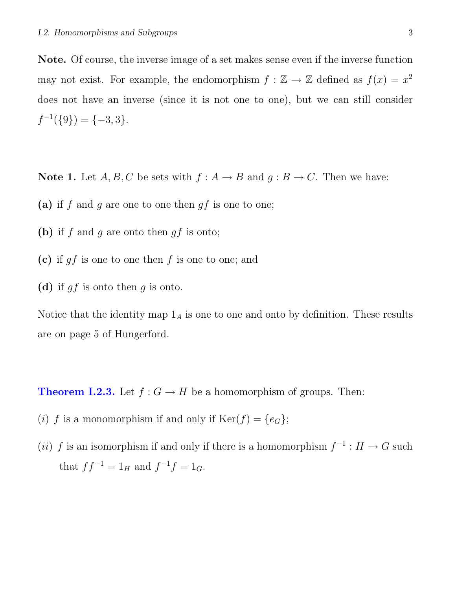Note. Of course, the inverse image of a set makes sense even if the inverse function may not exist. For example, the endomorphism  $f: \mathbb{Z} \to \mathbb{Z}$  defined as  $f(x) = x^2$ does not have an inverse (since it is not one to one), but we can still consider  $f^{-1}(\{9\}) = \{-3, 3\}.$ 

**Note 1.** Let  $A, B, C$  be sets with  $f : A \rightarrow B$  and  $g : B \rightarrow C$ . Then we have:

- (a) if f and g are one to one then  $gf$  is one to one;
- (b) if  $f$  and  $g$  are onto then  $gf$  is onto;
- (c) if  $gf$  is one to one then  $f$  is one to one; and
- (d) if  $gf$  is onto then  $g$  is onto.

Notice that the identity map  $1_A$  is one to one and onto by definition. These results are on page 5 of Hungerford.

**Theorem I.2.3.** Let  $f : G \to H$  be a homomorphism of groups. Then:

- (i) f is a monomorphism if and only if  $Ker(f) = \{e_G\};$
- (ii) f is an isomorphism if and only if there is a homomorphism  $f^{-1}: H \to G$  such that  $ff^{-1} = 1_H$  and  $f^{-1}f = 1_G$ .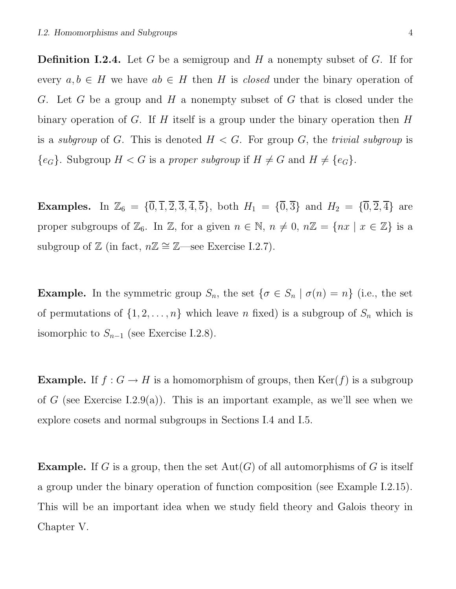**Definition I.2.4.** Let G be a semigroup and H a nonempty subset of G. If for every  $a, b \in H$  we have  $ab \in H$  then H is *closed* under the binary operation of G. Let G be a group and H a nonempty subset of G that is closed under the binary operation of G. If H itself is a group under the binary operation then  $H$ is a *subgroup* of G. This is denoted  $H < G$ . For group G, the *trivial subgroup* is  ${e_G}$ . Subgroup  $H < G$  is a proper subgroup if  $H \neq G$  and  $H \neq {e_G}$ .

**Examples.** In  $\mathbb{Z}_6 = {\overline{0}, \overline{1}, \overline{2}, \overline{3}, \overline{4}, \overline{5}}$ , both  $H_1 = {\overline{0}, \overline{3}}$  and  $H_2 = {\overline{0}, \overline{2}, \overline{4}}$  are proper subgroups of  $\mathbb{Z}_6$ . In  $\mathbb{Z}$ , for a given  $n \in \mathbb{N}$ ,  $n \neq 0$ ,  $n\mathbb{Z} = \{nx \mid x \in \mathbb{Z}\}\$ is a subgroup of  $\mathbb{Z}$  (in fact,  $n\mathbb{Z} \cong \mathbb{Z}$ —see Exercise I.2.7).

**Example.** In the symmetric group  $S_n$ , the set  $\{\sigma \in S_n \mid \sigma(n) = n\}$  (i.e., the set of permutations of  $\{1, 2, \ldots, n\}$  which leave n fixed) is a subgroup of  $S_n$  which is isomorphic to  $S_{n-1}$  (see Exercise I.2.8).

**Example.** If  $f : G \to H$  is a homomorphism of groups, then  $\text{Ker}(f)$  is a subgroup of G (see Exercise I.2.9(a)). This is an important example, as we'll see when we explore cosets and normal subgroups in Sections I.4 and I.5.

**Example.** If G is a group, then the set  $Aut(G)$  of all automorphisms of G is itself a group under the binary operation of function composition (see Example I.2.15). This will be an important idea when we study field theory and Galois theory in Chapter V.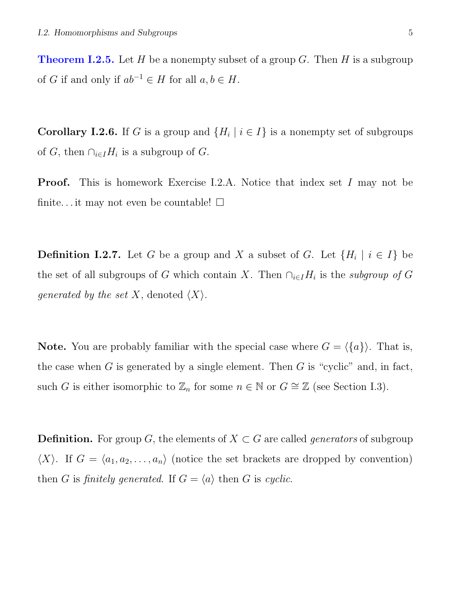**Theorem I.2.5.** Let H be a nonempty subset of a group G. Then H is a subgroup of G if and only if  $ab^{-1} \in H$  for all  $a, b \in H$ .

**Corollary I.2.6.** If G is a group and  $\{H_i \mid i \in I\}$  is a nonempty set of subgroups of G, then  $\bigcap_{i\in I}H_i$  is a subgroup of G.

**Proof.** This is homework Exercise I.2.A. Notice that index set I may not be finite... it may not even be countable!  $\square$ 

**Definition I.2.7.** Let G be a group and X a subset of G. Let  $\{H_i \mid i \in I\}$  be the set of all subgroups of G which contain X. Then  $\bigcap_{i\in I}H_i$  is the subgroup of G *generated by the set X*, denoted  $\langle X \rangle$ .

**Note.** You are probably familiar with the special case where  $G = \langle \{a\} \rangle$ . That is, the case when  $G$  is generated by a single element. Then  $G$  is "cyclic" and, in fact, such G is either isomorphic to  $\mathbb{Z}_n$  for some  $n \in \mathbb{N}$  or  $G \cong \mathbb{Z}$  (see Section I.3).

**Definition.** For group G, the elements of  $X \subset G$  are called *generators* of subgroup  $\langle X \rangle$ . If  $G = \langle a_1, a_2, \ldots, a_n \rangle$  (notice the set brackets are dropped by convention) then G is finitely generated. If  $G = \langle a \rangle$  then G is cyclic.